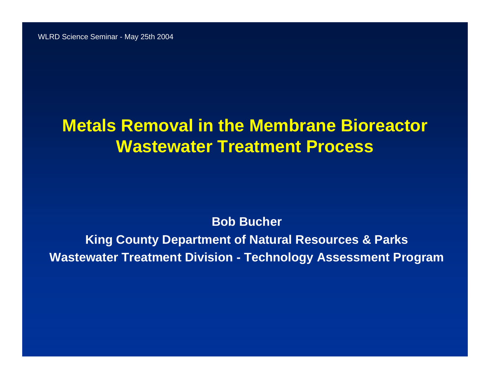#### **Metals Removal in the Membrane Bioreactor Wastewater Treatment Process**

**Bob Bucher**

**King County Department of Natural Resources & Parks Wastewater Treatment Division - Technology Assessment Program**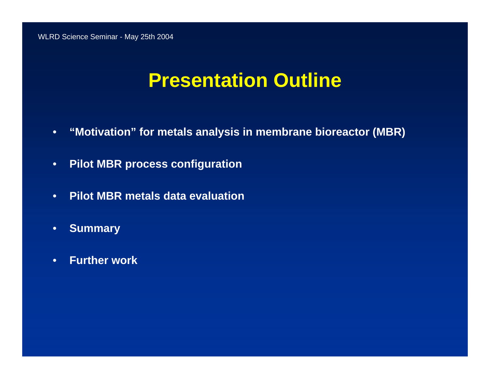### **Presentation Outline**

- $\bullet$ **"Motivation" for metals analysis in membrane bioreactor (MBR)**
- $\bullet$ **Pilot MBR process configuration**
- •**Pilot MBR metals data evaluation**
- •**Summary**
- $\bullet$ **Further work**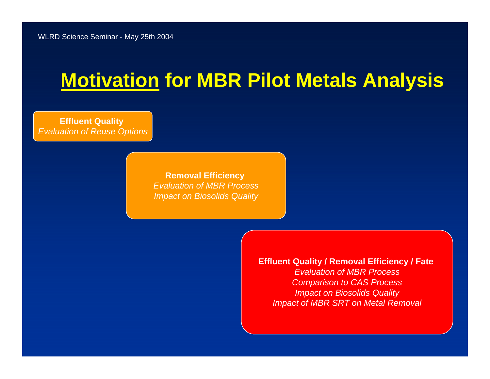### **Motivation for MBR Pilot Metals Analysis**

**Effluent Quality**  *Evaluation of Reuse Options*

> **Removal Efficiency**  *Evaluation of MBR ProcessImpact on Biosolids Quality*

> > **Effluent Quality / Removal Efficiency / Fate**

*Evaluation of MBR ProcessComparison to CAS Process Impact on Biosolids Quality Impact of MBR SRT on Metal Removal*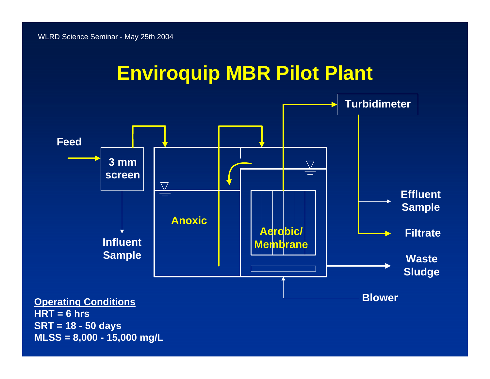## **Enviroquip MBR Pilot Plant**

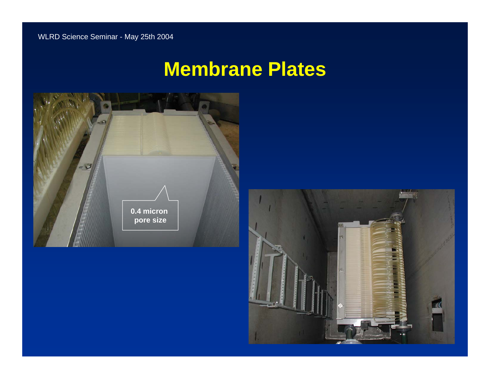#### **Membrane Plates**



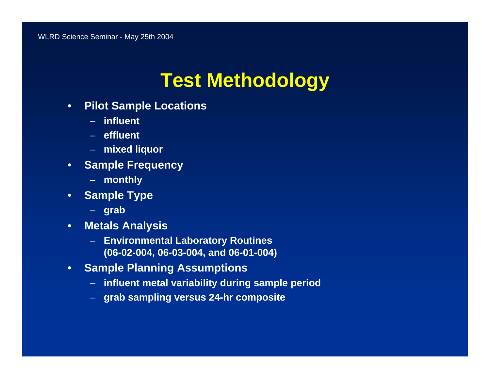# **Test Methodology**

- • **Pilot Sample Locations**
	- **influent**
	- **effluent**
	- **mixed liquor**
- $\bullet$  **Sample Frequency**
	- **monthly**
- • **Sample Type**
	- **grab**
- • **Metals Analysis**
	- **Environmental Laboratory Routines (06-02-004, 06-03-004, and 06-01-004)**
- $\bullet$  **Sample Planning Assumptions**
	- **influent metal variability during sample period**
	- **grab sampling versus 24-hr composite**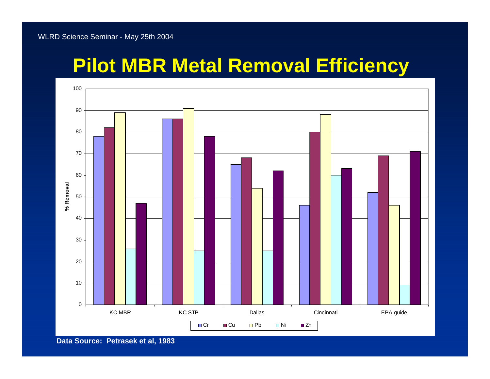# **Pilot MBR Metal Removal Efficiency**



**Data Source: Petrasek et al, 1983**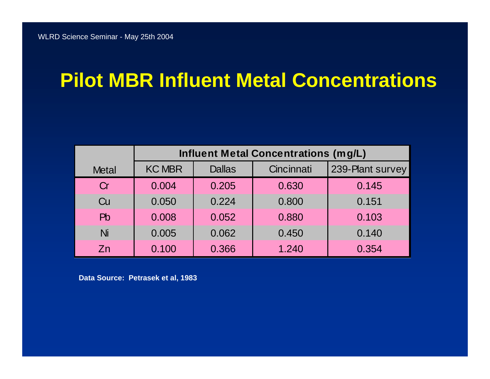# **Pilot MBR Influent Metal Concentrations**

|                | <b>Influent Metal Concentrations (mg/L)</b> |               |            |                  |  |  |
|----------------|---------------------------------------------|---------------|------------|------------------|--|--|
| <b>Metal</b>   | <b>KC MBR</b>                               | <b>Dallas</b> | Cincinnati | 239-Plant survey |  |  |
| Cr             | 0.004                                       | 0.205         | 0.630      | 0.145            |  |  |
| Cu             | 0.050                                       | 0.224         | 0.800      | 0.151            |  |  |
| P <sub>b</sub> | 0.008                                       | 0.052         | 0.880      | 0.103            |  |  |
| Ni             | 0.005                                       | 0.062         | 0.450      | 0.140            |  |  |
| Zn             | 0.100                                       | 0.366         | 1.240      | 0.354            |  |  |

**Data Source: Petrasek et al, 1983**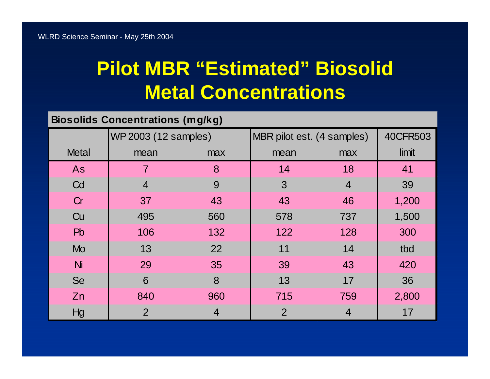# **Pilot MBR "Estimated" Biosolid Metal Concentrations**

#### **Biosolids Concentrations (mg/kg)**

|                | WP 2003 (12 samples) |                | MBR pilot est. (4 samples) |                | 40CFR503 |
|----------------|----------------------|----------------|----------------------------|----------------|----------|
| <b>Metal</b>   | mean                 | max            | mean                       | max            | limit    |
| As             | $\overline{7}$       | 8              | 14                         | 18             | 41       |
| Cd             | $\overline{4}$       | 9              | 3                          | $\overline{4}$ | 39       |
| Cr             | 37                   | 43             | 43                         | 46             | 1,200    |
| Cu             | 495                  | 560            | 578                        | 737            | 1,500    |
| P <sub>b</sub> | 106                  | 132            | 122                        | 128            | 300      |
| <b>Mo</b>      | 13                   | 22             | 11                         | 14             | tbd      |
| Ni             | 29                   | 35             | 39                         | 43             | 420      |
| Se             | 6                    | 8              | 13                         | 17             | 36       |
| Zn             | 840                  | 960            | 715                        | 759            | 2,800    |
| Hg             | 2                    | $\overline{4}$ | $\overline{2}$             | 4              | 17       |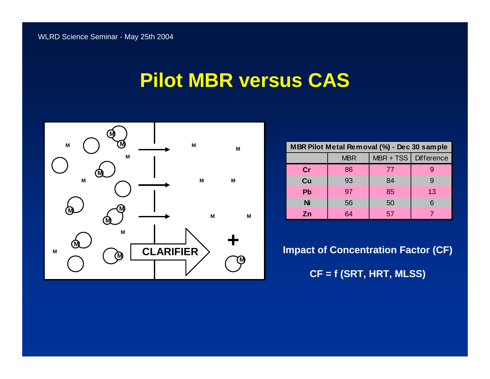#### **Pilot MBR versus CAS**



| MBR Pilot Metal Removal (%) - Dec 30 sample |            |                        |    |  |  |  |  |
|---------------------------------------------|------------|------------------------|----|--|--|--|--|
|                                             | <b>MBR</b> | MBR + TSS   Difference |    |  |  |  |  |
| cr                                          | 86         | 77                     |    |  |  |  |  |
| Cu                                          | 93         | 84                     |    |  |  |  |  |
| <b>Pb</b>                                   | 97         | 85                     | 13 |  |  |  |  |
| <b>Ni</b>                                   | 56         | 50                     | 6  |  |  |  |  |
| Zn                                          | 64         | 57                     |    |  |  |  |  |

**Impact of Concentration Factor (CF) CF = f (SRT, HRT, MLSS)**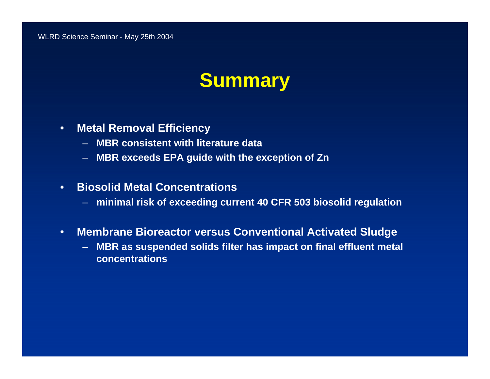### **Summary**

- • **Metal Removal Efficiency**
	- **MBR consistent with literature data**
	- **MBR exceeds EPA guide with the exception of Zn**
- • **Biosolid Metal Concentrations**
	- **minimal risk of exceeding current 40 CFR 503 biosolid regulation**
- • **Membrane Bioreactor versus Conventional Activated Sludge**
	- **MBR as suspended solids filter has impact on final effluent metal concentrations**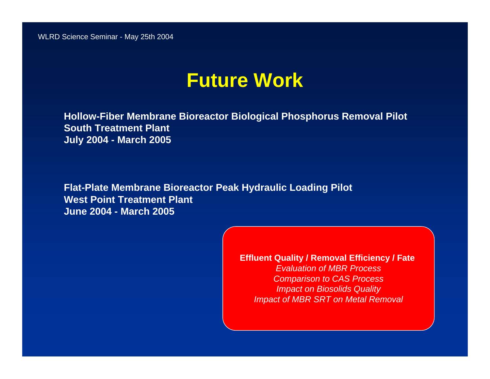#### **Future Work**

**Hollow-Fiber Membrane Bioreactor Biological Phosphorus Removal Pilot South Treatment PlantJuly 2004 - March 2005**

**Flat-Plate Membrane Bioreactor Peak Hydraulic Loading Pilot West Point Treatment PlantJune 2004 - March 2005**

> **Effluent Quality / Removal Efficiency / Fate**  *Evaluation of MBR ProcessComparison to CAS Process Impact on Biosolids Quality Impact of MBR SRT on Metal Removal*